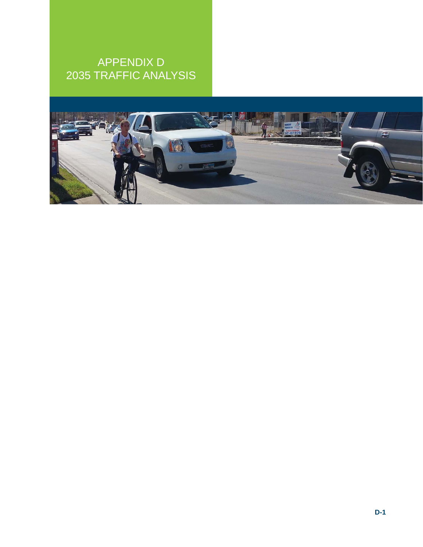# APPENDIX D 2035 TRAFFIC ANALYSIS

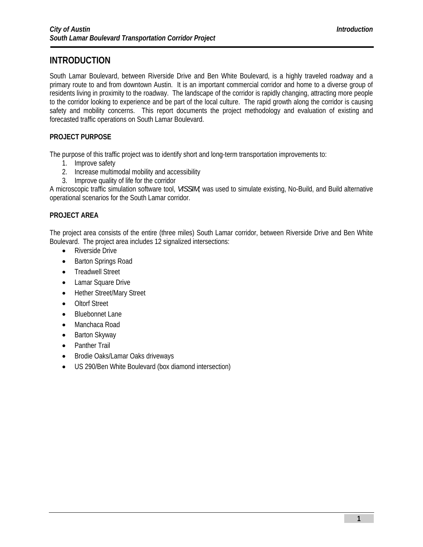## **INTRODUCTION**

South Lamar Boulevard, between Riverside Drive and Ben White Boulevard, is a highly traveled roadway and a primary route to and from downtown Austin. It is an important commercial corridor and home to a diverse group of residents living in proximity to the roadway. The landscape of the corridor is rapidly changing, attracting more people to the corridor looking to experience and be part of the local culture. The rapid growth along the corridor is causing safety and mobility concerns. This report documents the project methodology and evaluation of existing and forecasted traffic operations on South Lamar Boulevard.

## **PROJECT PURPOSE**

The purpose of this traffic project was to identify short and long-term transportation improvements to:

- 1. Improve safety
- 2. Increase multimodal mobility and accessibility
- 3. Improve quality of life for the corridor

A microscopic traffic simulation software tool, *VISSIM,* was used to simulate existing, No-Build, and Build alternative operational scenarios for the South Lamar corridor.

## **PROJECT AREA**

The project area consists of the entire (three miles) South Lamar corridor, between Riverside Drive and Ben White Boulevard. The project area includes 12 signalized intersections:

- Riverside Drive
- Barton Springs Road
- Treadwell Street
- Lamar Square Drive
- Hether Street/Mary Street
- Oltorf Street
- Bluebonnet Lane
- Manchaca Road
- Barton Skyway
- Panther Trail
- Brodie Oaks/Lamar Oaks driveways
- US 290/Ben White Boulevard (box diamond intersection)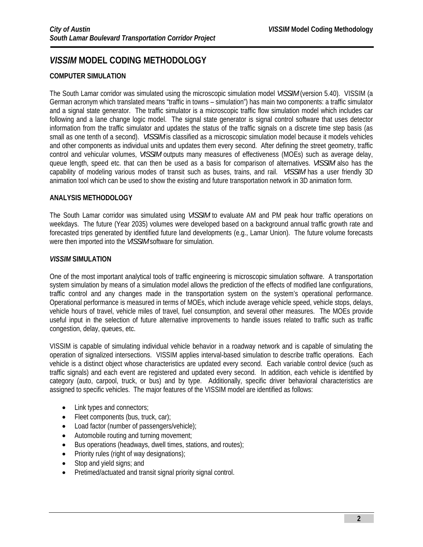## *VISSIM* **MODEL CODING METHODOLOGY**

## **COMPUTER SIMULATION**

The South Lamar corridor was simulated using the microscopic simulation model *VISSIM* (version 5.40). VISSIM (a German acronym which translated means "traffic in towns – simulation") has main two components: a traffic simulator and a signal state generator. The traffic simulator is a microscopic traffic flow simulation model which includes car following and a lane change logic model. The signal state generator is signal control software that uses detector information from the traffic simulator and updates the status of the traffic signals on a discrete time step basis (as small as one tenth of a second). *VISSIM* is classified as a microscopic simulation model because it models vehicles and other components as individual units and updates them every second. After defining the street geometry, traffic control and vehicular volumes, *VISSIM* outputs many measures of effectiveness (MOEs) such as average delay, queue length, speed etc. that can then be used as a basis for comparison of alternatives. *VISSIM* also has the capability of modeling various modes of transit such as buses, trains, and rail. *VISSIM* has a user friendly 3D animation tool which can be used to show the existing and future transportation network in 3D animation form.

## **ANALYSIS METHODOLOGY**

The South Lamar corridor was simulated using *VISSIM* to evaluate AM and PM peak hour traffic operations on weekdays. The future (Year 2035) volumes were developed based on a background annual traffic growth rate and forecasted trips generated by identified future land developments (e.g., Lamar Union). The future volume forecasts were then imported into the *VISSIM* software for simulation.

### *VISSIM* **SIMULATION**

One of the most important analytical tools of traffic engineering is microscopic simulation software. A transportation system simulation by means of a simulation model allows the prediction of the effects of modified lane configurations, traffic control and any changes made in the transportation system on the system's operational performance. Operational performance is measured in terms of MOEs, which include average vehicle speed, vehicle stops, delays, vehicle hours of travel, vehicle miles of travel, fuel consumption, and several other measures. The MOEs provide useful input in the selection of future alternative improvements to handle issues related to traffic such as traffic congestion, delay, queues, etc.

VISSIM is capable of simulating individual vehicle behavior in a roadway network and is capable of simulating the operation of signalized intersections. VISSIM applies interval-based simulation to describe traffic operations. Each vehicle is a distinct object whose characteristics are updated every second. Each variable control device (such as traffic signals) and each event are registered and updated every second. In addition, each vehicle is identified by category (auto, carpool, truck, or bus) and by type. Additionally, specific driver behavioral characteristics are assigned to specific vehicles. The major features of the VISSIM model are identified as follows:

- Link types and connectors;
- $\bullet$  Fleet components (bus, truck, car);
- Load factor (number of passengers/vehicle);
- Automobile routing and turning movement;
- Bus operations (headways, dwell times, stations, and routes);
- $\bullet$  Priority rules (right of way designations);
- Stop and yield signs; and
- Pretimed/actuated and transit signal priority signal control.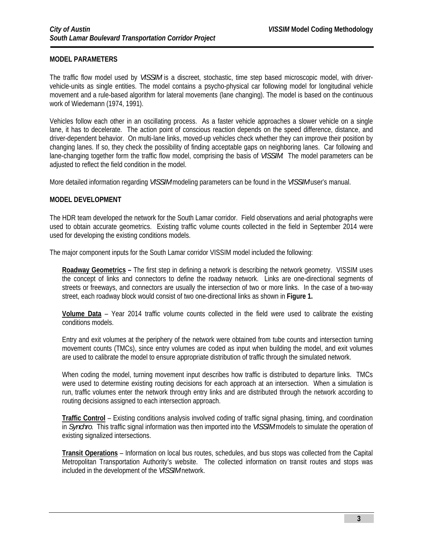## **MODEL PARAMETERS**

The traffic flow model used by *VISSIM* is a discreet, stochastic, time step based microscopic model, with drivervehicle-units as single entities. The model contains a psycho-physical car following model for longitudinal vehicle movement and a rule-based algorithm for lateral movements (lane changing). The model is based on the continuous work of Wiedemann (1974, 1991).

Vehicles follow each other in an oscillating process. As a faster vehicle approaches a slower vehicle on a single lane, it has to decelerate. The action point of conscious reaction depends on the speed difference, distance, and driver-dependent behavior. On multi-lane links, moved-up vehicles check whether they can improve their position by changing lanes. If so, they check the possibility of finding acceptable gaps on neighboring lanes. Car following and lane-changing together form the traffic flow model, comprising the basis of *VISSIM*. The model parameters can be adjusted to reflect the field condition in the model.

More detailed information regarding *VISSIM* modeling parameters can be found in the *VISSIM* user's manual.

### **MODEL DEVELOPMENT**

The HDR team developed the network for the South Lamar corridor. Field observations and aerial photographs were used to obtain accurate geometrics. Existing traffic volume counts collected in the field in September 2014 were used for developing the existing conditions models.

The major component inputs for the South Lamar corridor VISSIM model included the following:

**Roadway Geometrics –** The first step in defining a network is describing the network geometry. VISSIM uses the concept of links and connectors to define the roadway network. Links are one-directional segments of streets or freeways, and connectors are usually the intersection of two or more links. In the case of a two-way street, each roadway block would consist of two one-directional links as shown in **Figure 1.**

**Volume Data** – Year 2014 traffic volume counts collected in the field were used to calibrate the existing conditions models.

Entry and exit volumes at the periphery of the network were obtained from tube counts and intersection turning movement counts (TMCs), since entry volumes are coded as input when building the model, and exit volumes are used to calibrate the model to ensure appropriate distribution of traffic through the simulated network.

When coding the model, turning movement input describes how traffic is distributed to departure links. TMCs were used to determine existing routing decisions for each approach at an intersection. When a simulation is run, traffic volumes enter the network through entry links and are distributed through the network according to routing decisions assigned to each intersection approach.

**Traffic Control** – Existing conditions analysis involved coding of traffic signal phasing, timing, and coordination in *Synchro*. This traffic signal information was then imported into the *VISSIM* models to simulate the operation of existing signalized intersections.

**Transit Operations** – Information on local bus routes, schedules, and bus stops was collected from the Capital Metropolitan Transportation Authority's website. The collected information on transit routes and stops was included in the development of the *VISSIM* network.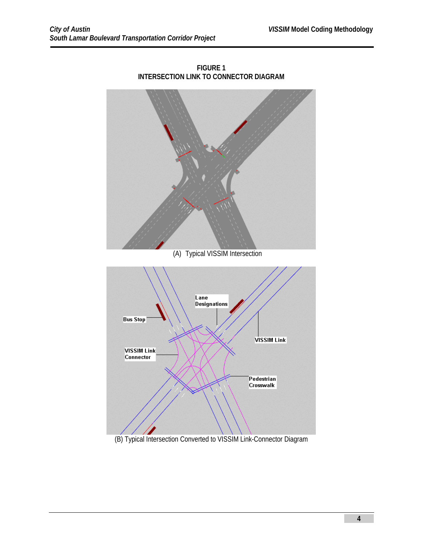

**FIGURE 1 INTERSECTION LINK TO CONNECTOR DIAGRAM** 

## (B) Typical Intersection Converted to VISSIM Link-Connector Diagram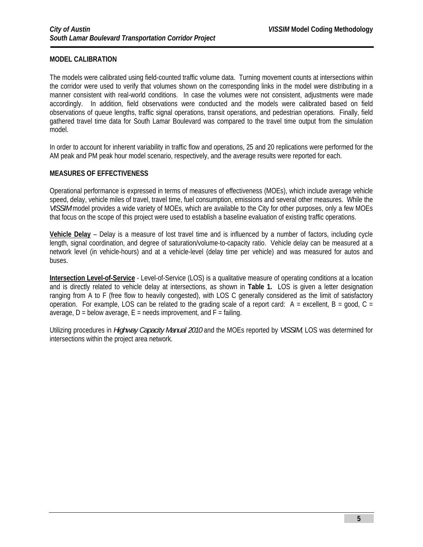## **MODEL CALIBRATION**

The models were calibrated using field-counted traffic volume data. Turning movement counts at intersections within the corridor were used to verify that volumes shown on the corresponding links in the model were distributing in a manner consistent with real-world conditions. In case the volumes were not consistent, adjustments were made accordingly. In addition, field observations were conducted and the models were calibrated based on field observations of queue lengths, traffic signal operations, transit operations, and pedestrian operations. Finally, field gathered travel time data for South Lamar Boulevard was compared to the travel time output from the simulation model.

In order to account for inherent variability in traffic flow and operations, 25 and 20 replications were performed for the AM peak and PM peak hour model scenario, respectively, and the average results were reported for each.

#### **MEASURES OF EFFECTIVENESS**

Operational performance is expressed in terms of measures of effectiveness (MOEs), which include average vehicle speed, delay, vehicle miles of travel, travel time, fuel consumption, emissions and several other measures. While the *VISSIM* model provides a wide variety of MOEs, which are available to the City for other purposes, only a few MOEs that focus on the scope of this project were used to establish a baseline evaluation of existing traffic operations.

**Vehicle Delay** – Delay is a measure of lost travel time and is influenced by a number of factors, including cycle length, signal coordination, and degree of saturation/volume-to-capacity ratio. Vehicle delay can be measured at a network level (in vehicle-hours) and at a vehicle-level (delay time per vehicle) and was measured for autos and buses.

**Intersection Level-of-Service** - Level-of-Service (LOS) is a qualitative measure of operating conditions at a location and is directly related to vehicle delay at intersections, as shown in **Table 1.** LOS is given a letter designation ranging from A to F (free flow to heavily congested), with LOS C generally considered as the limit of satisfactory operation. For example, LOS can be related to the grading scale of a report card:  $A =$  excellent,  $B =$  good,  $C =$ average,  $D =$  below average,  $E =$  needs improvement, and  $F =$  failing.

Utilizing procedures in *Highway Capacity Manual 2010* and the MOEs reported by *VISSIM*, LOS was determined for intersections within the project area network.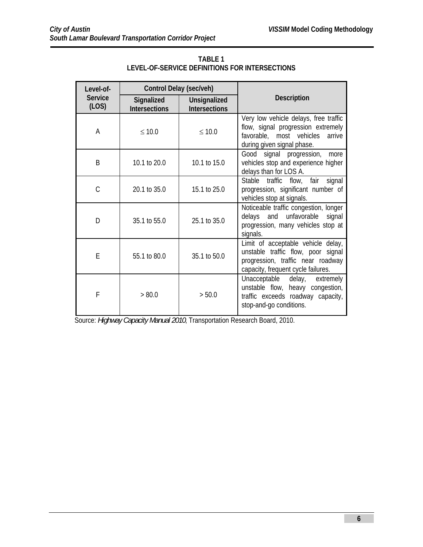| Level-of-               | Control Delay (sec/veh)            |                                      |                                                                                                                                                     |  |  |
|-------------------------|------------------------------------|--------------------------------------|-----------------------------------------------------------------------------------------------------------------------------------------------------|--|--|
| <b>Service</b><br>(LOS) | Signalized<br><b>Intersections</b> | Unsignalized<br><b>Intersections</b> | <b>Description</b>                                                                                                                                  |  |  |
| Α                       | $\leq 10.0$                        | $\leq 10.0$                          | Very low vehicle delays, free traffic<br>flow, signal progression extremely<br>favorable, most vehicles<br>arrive<br>during given signal phase.     |  |  |
| B                       | 10.1 to 20.0                       | 10.1 to 15.0                         | Good signal progression,<br>more<br>vehicles stop and experience higher<br>delays than for LOS A.                                                   |  |  |
| C                       | 20.1 to 35.0                       | 15.1 to 25.0                         | flow, fair<br>Stable<br>traffic<br>signal<br>progression, significant number of<br>vehicles stop at signals.                                        |  |  |
| D                       | 35.1 to 55.0                       | 25.1 to 35.0                         | Noticeable traffic congestion, longer<br>delays and unfavorable<br>signal<br>progression, many vehicles stop at<br>signals.                         |  |  |
| E                       | 55.1 to 80.0                       | 35.1 to 50.0                         | Limit of acceptable vehicle delay,<br>unstable traffic flow, poor signal<br>progression, traffic near roadway<br>capacity, frequent cycle failures. |  |  |
| F                       | > 80.0                             | > 50.0                               | Unacceptable<br>delay, extremely<br>unstable flow, heavy congestion,<br>traffic exceeds roadway capacity,<br>stop-and-go conditions.                |  |  |

**TABLE 1 LEVEL-OF-SERVICE DEFINITIONS FOR INTERSECTIONS** 

Source: *Highway Capacity Manual 2010*, Transportation Research Board, 2010.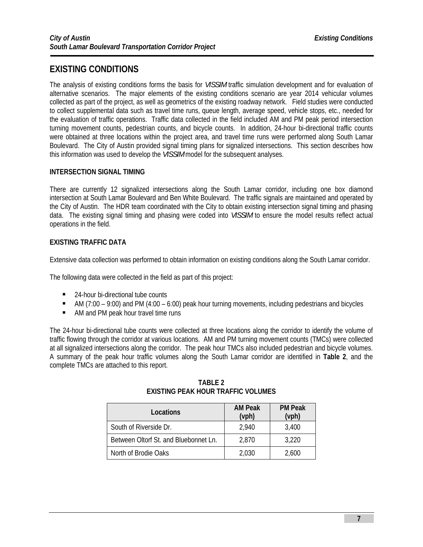## **EXISTING CONDITIONS**

The analysis of existing conditions forms the basis for *VISSIM* traffic simulation development and for evaluation of alternative scenarios. The major elements of the existing conditions scenario are year 2014 vehicular volumes collected as part of the project, as well as geometrics of the existing roadway network. Field studies were conducted to collect supplemental data such as travel time runs, queue length, average speed, vehicle stops, etc., needed for the evaluation of traffic operations. Traffic data collected in the field included AM and PM peak period intersection turning movement counts, pedestrian counts, and bicycle counts. In addition, 24-hour bi-directional traffic counts were obtained at three locations within the project area, and travel time runs were performed along South Lamar Boulevard. The City of Austin provided signal timing plans for signalized intersections. This section describes how this information was used to develop the *VISSIM* model for the subsequent analyses.

## **INTERSECTION SIGNAL TIMING**

There are currently 12 signalized intersections along the South Lamar corridor, including one box diamond intersection at South Lamar Boulevard and Ben White Boulevard. The traffic signals are maintained and operated by the City of Austin. The HDR team coordinated with the City to obtain existing intersection signal timing and phasing data. The existing signal timing and phasing were coded into *VISSIM* to ensure the model results reflect actual operations in the field.

## **EXISTING TRAFFIC DATA**

Extensive data collection was performed to obtain information on existing conditions along the South Lamar corridor.

The following data were collected in the field as part of this project:

- 24-hour bi-directional tube counts
- AM (7:00 9:00) and PM (4:00 6:00) peak hour turning movements, including pedestrians and bicycles
- AM and PM peak hour travel time runs

The 24-hour bi-directional tube counts were collected at three locations along the corridor to identify the volume of traffic flowing through the corridor at various locations. AM and PM turning movement counts (TMCs) were collected at all signalized intersections along the corridor. The peak hour TMCs also included pedestrian and bicycle volumes. A summary of the peak hour traffic volumes along the South Lamar corridor are identified in **Table 2**, and the complete TMCs are attached to this report.

| Locations                             | <b>AM Peak</b><br>(vph) | <b>PM Peak</b><br>(vph) |
|---------------------------------------|-------------------------|-------------------------|
| South of Riverside Dr.                | 2,940                   | 3,400                   |
| Between Oltorf St. and Bluebonnet Ln. | 2,870                   | 3,220                   |
| North of Brodie Oaks                  | 2,030                   | 2,600                   |

### **TABLE 2 EXISTING PEAK HOUR TRAFFIC VOLUMES**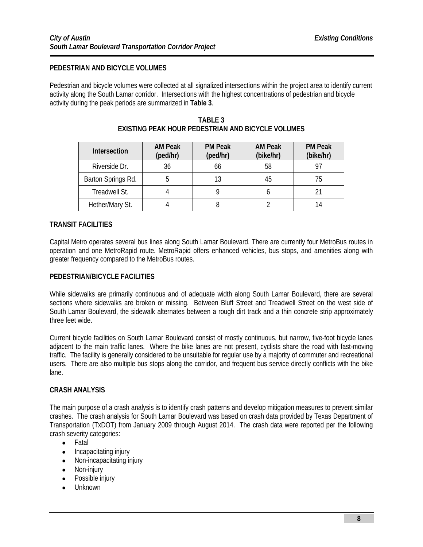## **PEDESTRIAN AND BICYCLE VOLUMES**

Pedestrian and bicycle volumes were collected at all signalized intersections within the project area to identify current activity along the South Lamar corridor. Intersections with the highest concentrations of pedestrian and bicycle activity during the peak periods are summarized in **Table 3**.

| Intersection       | <b>AM Peak</b><br>(ped/hr) | <b>PM Peak</b><br>(ped/hr) | <b>AM Peak</b><br>(bike/hr) | <b>PM Peak</b><br>(bike/hr) |
|--------------------|----------------------------|----------------------------|-----------------------------|-----------------------------|
| Riverside Dr.      | 36                         | 66                         | 58                          |                             |
| Barton Springs Rd. |                            |                            | 45                          | 75                          |
| Treadwell St.      |                            |                            |                             |                             |
| Hether/Mary St.    |                            |                            |                             | 14                          |

## **TABLE 3 EXISTING PEAK HOUR PEDESTRIAN AND BICYCLE VOLUMES**

## **TRANSIT FACILITIES**

Capital Metro operates several bus lines along South Lamar Boulevard. There are currently four MetroBus routes in operation and one MetroRapid route. MetroRapid offers enhanced vehicles, bus stops, and amenities along with greater frequency compared to the MetroBus routes.

### **PEDESTRIAN/BICYCLE FACILITIES**

While sidewalks are primarily continuous and of adequate width along South Lamar Boulevard, there are several sections where sidewalks are broken or missing. Between Bluff Street and Treadwell Street on the west side of South Lamar Boulevard, the sidewalk alternates between a rough dirt track and a thin concrete strip approximately three feet wide.

Current bicycle facilities on South Lamar Boulevard consist of mostly continuous, but narrow, five-foot bicycle lanes adjacent to the main traffic lanes. Where the bike lanes are not present, cyclists share the road with fast-moving traffic. The facility is generally considered to be unsuitable for regular use by a majority of commuter and recreational users. There are also multiple bus stops along the corridor, and frequent bus service directly conflicts with the bike lane.

### **CRASH ANALYSIS**

The main purpose of a crash analysis is to identify crash patterns and develop mitigation measures to prevent similar crashes. The crash analysis for South Lamar Boulevard was based on crash data provided by Texas Department of Transportation (TxDOT) from January 2009 through August 2014. The crash data were reported per the following crash severity categories:

- Fatal
- Incapacitating injury
- Non-incapacitating injury
- Non-injury
- Possible injury
- Unknown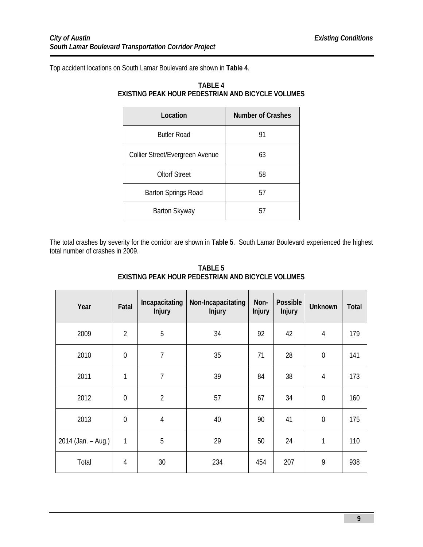Top accident locations on South Lamar Boulevard are shown in **Table 4**.

| Location                        | <b>Number of Crashes</b> |
|---------------------------------|--------------------------|
| <b>Butler Road</b>              | 91                       |
| Collier Street/Evergreen Avenue | 63                       |
| <b>Oltorf Street</b>            | 58                       |
| <b>Barton Springs Road</b>      | 57                       |
| Barton Skyway                   | 57                       |

## **TABLE 4 EXISTING PEAK HOUR PEDESTRIAN AND BICYCLE VOLUMES**

The total crashes by severity for the corridor are shown in **Table 5**. South Lamar Boulevard experienced the highest total number of crashes in 2009.

| Year               | Fatal          | Incapacitating<br><b>Injury</b> | Non-Incapacitating<br><b>Injury</b> | Non-<br><b>Injury</b> | Possible<br><b>Injury</b> | <b>Unknown</b> | <b>Total</b> |
|--------------------|----------------|---------------------------------|-------------------------------------|-----------------------|---------------------------|----------------|--------------|
| 2009               | $\overline{2}$ | 5                               | 34                                  | 92                    | 42                        | $\overline{4}$ | 179          |
| 2010               | $\overline{0}$ | $\overline{1}$                  | 35                                  | 71                    | 28                        | $\mathbf 0$    | 141          |
| 2011               | 1              | $\overline{7}$                  | 39                                  | 84                    | 38                        | $\overline{4}$ | 173          |
| 2012               | $\overline{0}$ | $\overline{2}$                  | 57                                  | 67                    | 34                        | $\mathbf 0$    | 160          |
| 2013               | $\overline{0}$ | $\overline{4}$                  | 40                                  | 90                    | 41                        | $\mathbf 0$    | 175          |
| 2014 (Jan. – Aug.) | 1              | 5                               | 29                                  | 50                    | 24                        | 1              | 110          |
| Total              | 4              | 30                              | 234                                 | 454                   | 207                       | 9              | 938          |

**TABLE 5 EXISTING PEAK HOUR PEDESTRIAN AND BICYCLE VOLUMES**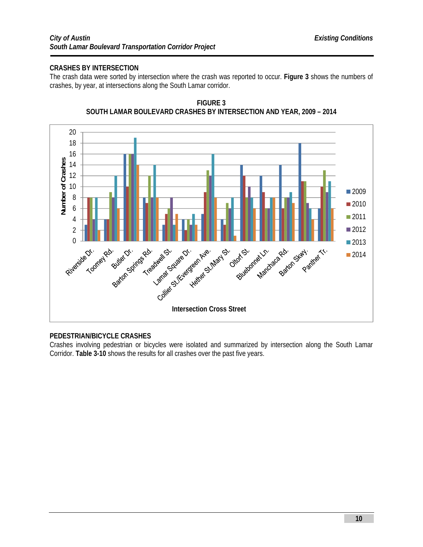## **CRASHES BY INTERSECTION**

The crash data were sorted by intersection where the crash was reported to occur. **Figure 3** shows the numbers of crashes, by year, at intersections along the South Lamar corridor.





## **PEDESTRIAN/BICYCLE CRASHES**

Crashes involving pedestrian or bicycles were isolated and summarized by intersection along the South Lamar Corridor. **Table 3-10** shows the results for all crashes over the past five years.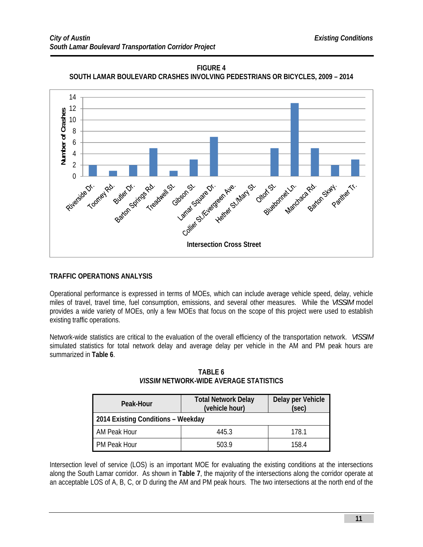

**FIGURE 4 SOUTH LAMAR BOULEVARD CRASHES INVOLVING PEDESTRIANS OR BICYCLES, 2009 – 2014** 

## **TRAFFIC OPERATIONS ANALYSIS**

Operational performance is expressed in terms of MOEs, which can include average vehicle speed, delay, vehicle miles of travel, travel time, fuel consumption, emissions, and several other measures. While the *VISSIM* model provides a wide variety of MOEs, only a few MOEs that focus on the scope of this project were used to establish existing traffic operations.

Network-wide statistics are critical to the evaluation of the overall efficiency of the transportation network. *VISSIM* simulated statistics for total network delay and average delay per vehicle in the AM and PM peak hours are summarized in **Table 6**.

| Peak-Hour                          | <b>Total Network Delay</b><br>(vehicle hour) | Delay per Vehicle<br>(sec) |  |
|------------------------------------|----------------------------------------------|----------------------------|--|
| 2014 Existing Conditions - Weekday |                                              |                            |  |
| AM Peak Hour                       | 4453                                         | 178.1                      |  |
| <b>PM Peak Hour</b>                | 503.9                                        | 158.4                      |  |

**TABLE 6**  *VISSIM* **NETWORK-WIDE AVERAGE STATISTICS** 

Intersection level of service (LOS) is an important MOE for evaluating the existing conditions at the intersections along the South Lamar corridor. As shown in **Table 7**, the majority of the intersections along the corridor operate at an acceptable LOS of A, B, C, or D during the AM and PM peak hours. The two intersections at the north end of the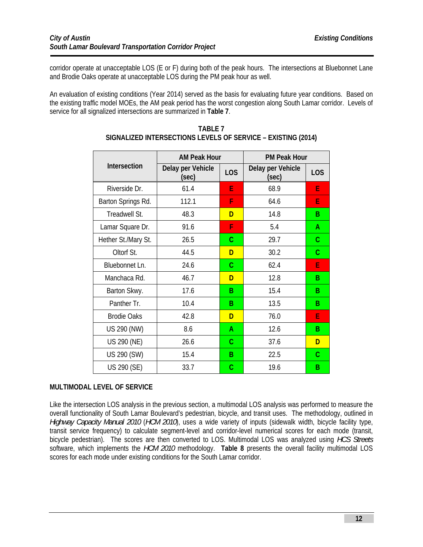corridor operate at unacceptable LOS (E or F) during both of the peak hours. The intersections at Bluebonnet Lane and Brodie Oaks operate at unacceptable LOS during the PM peak hour as well.

An evaluation of existing conditions (Year 2014) served as the basis for evaluating future year conditions. Based on the existing traffic model MOEs, the AM peak period has the worst congestion along South Lamar corridor. Levels of service for all signalized intersections are summarized in **Table 7**.

|                     | <b>AM Peak Hour</b>        |     | <b>PM Peak Hour</b>        |                  |
|---------------------|----------------------------|-----|----------------------------|------------------|
| Intersection        | Delay per Vehicle<br>(sec) | LOS | Delay per Vehicle<br>(sec) | L <sub>O</sub> S |
| Riverside Dr.       | 61.4                       | E   | 68.9                       | E                |
| Barton Springs Rd.  | 112.1                      | F   | 64.6                       | E                |
| Treadwell St.       | 48.3                       | D   | 14.8                       | B                |
| Lamar Square Dr.    | 91.6                       | F   | 5.4                        | A                |
| Hether St./Mary St. | 26.5                       | C   | 29.7                       | C                |
| Oltorf St.          | 44.5                       | D   | 30.2                       | C                |
| Bluebonnet Ln.      | 24.6                       | C   | 62.4                       | E                |
| Manchaca Rd.        | 46.7                       | D   | 12.8                       | B                |
| Barton Skwy.        | 17.6                       | B   | 15.4                       | B                |
| Panther Tr.         | 10.4                       | B   | 13.5                       | B                |
| <b>Brodie Oaks</b>  | 42.8                       | D   | 76.0                       | E                |
| US 290 (NW)         | 8.6                        | Α   | 12.6                       | B                |
| US 290 (NE)         | 26.6                       | C   | 37.6                       | D                |
| US 290 (SW)         | 15.4                       | B   | 22.5                       | С                |
| US 290 (SE)         | 33.7                       | C   | 19.6                       | B                |

#### **TABLE 7 SIGNALIZED INTERSECTIONS LEVELS OF SERVICE – EXISTING (2014)**

## **MULTIMODAL LEVEL OF SERVICE**

Like the intersection LOS analysis in the previous section, a multimodal LOS analysis was performed to measure the overall functionality of South Lamar Boulevard's pedestrian, bicycle, and transit uses. The methodology, outlined in *Highway Capacity Manual 2010* (*HCM 2010*), uses a wide variety of inputs (sidewalk width, bicycle facility type, transit service frequency) to calculate segment-level and corridor-level numerical scores for each mode (transit, bicycle pedestrian). The scores are then converted to LOS. Multimodal LOS was analyzed using *HCS Streets* software, which implements the *HCM 2010* methodology. **Table 8** presents the overall facility multimodal LOS scores for each mode under existing conditions for the South Lamar corridor.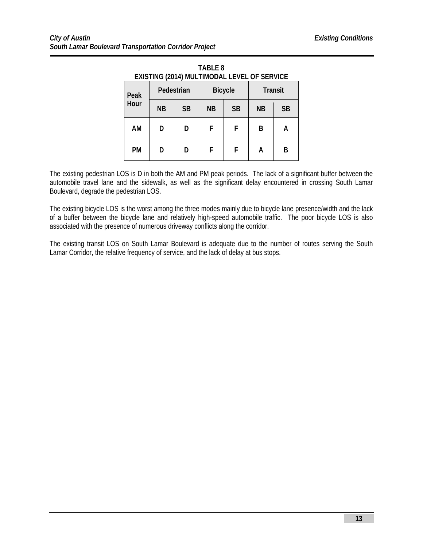| EXISTING (2014) MULTIMODAL LEVEL OF SERVICE |    |            |           |                |           |                |  |  |
|---------------------------------------------|----|------------|-----------|----------------|-----------|----------------|--|--|
| Peak                                        |    | Pedestrian |           | <b>Bicycle</b> |           | <b>Transit</b> |  |  |
| Hour                                        | NΒ | <b>SB</b>  | <b>NB</b> | <b>SB</b>      | <b>NB</b> | <b>SB</b>      |  |  |
| AM                                          | D  | D          | F         | F              | B         | A              |  |  |
| <b>PM</b>                                   | D  | D          | F         | F              | А         | в              |  |  |

**TABLE 8** 

The existing pedestrian LOS is D in both the AM and PM peak periods. The lack of a significant buffer between the automobile travel lane and the sidewalk, as well as the significant delay encountered in crossing South Lamar Boulevard, degrade the pedestrian LOS.

The existing bicycle LOS is the worst among the three modes mainly due to bicycle lane presence/width and the lack of a buffer between the bicycle lane and relatively high-speed automobile traffic. The poor bicycle LOS is also associated with the presence of numerous driveway conflicts along the corridor.

The existing transit LOS on South Lamar Boulevard is adequate due to the number of routes serving the South Lamar Corridor, the relative frequency of service, and the lack of delay at bus stops.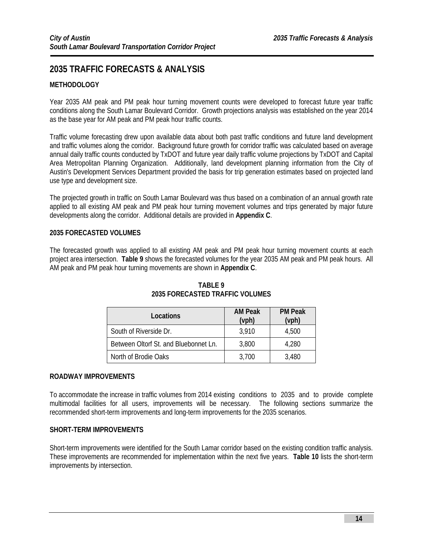## **2035 TRAFFIC FORECASTS & ANALYSIS**

## **METHODOLOGY**

l

Year 2035 AM peak and PM peak hour turning movement counts were developed to forecast future year traffic conditions along the South Lamar Boulevard Corridor. Growth projections analysis was established on the year 2014 as the base year for AM peak and PM peak hour traffic counts.

Traffic volume forecasting drew upon available data about both past traffic conditions and future land development and traffic volumes along the corridor. Background future growth for corridor traffic was calculated based on average annual daily traffic counts conducted by TxDOT and future year daily traffic volume projections by TxDOT and Capital Area Metropolitan Planning Organization. Additionally, land development planning information from the City of Austin's Development Services Department provided the basis for trip generation estimates based on projected land use type and development size.

The projected growth in traffic on South Lamar Boulevard was thus based on a combination of an annual growth rate applied to all existing AM peak and PM peak hour turning movement volumes and trips generated by major future developments along the corridor. Additional details are provided in **Appendix C**.

### **2035 FORECASTED VOLUMES**

The forecasted growth was applied to all existing AM peak and PM peak hour turning movement counts at each project area intersection. **Table 9** shows the forecasted volumes for the year 2035 AM peak and PM peak hours. All AM peak and PM peak hour turning movements are shown in **Appendix C**.

| Locations                             | <b>AM Peak</b><br>(vph) | <b>PM Peak</b><br>(vph) |
|---------------------------------------|-------------------------|-------------------------|
| South of Riverside Dr.                | 3.910                   | 4,500                   |
| Between Oltorf St. and Bluebonnet Ln. | 3,800                   | 4,280                   |
| North of Brodie Oaks                  | 3,700                   | 3,480                   |

## **TABLE 9 2035 FORECASTED TRAFFIC VOLUMES**

### **ROADWAY IMPROVEMENTS**

To accommodate the increase in traffic volumes from 2014 existing conditions to 2035 and to provide complete multimodal facilities for all users, improvements will be necessary. The following sections summarize the recommended short-term improvements and long-term improvements for the 2035 scenarios.

### **SHORT-TERM IMPROVEMENTS**

Short-term improvements were identified for the South Lamar corridor based on the existing condition traffic analysis. These improvements are recommended for implementation within the next five years. **Table 10** lists the short-term improvements by intersection.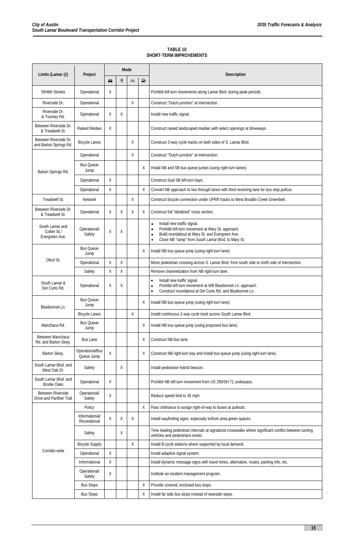l

| TABLE 10                |
|-------------------------|
| SHORT-TERM IMPROVEMENTS |

|                                                     |                                |                   | Mode |    |        |                                                                                                                                                                                                                          |
|-----------------------------------------------------|--------------------------------|-------------------|------|----|--------|--------------------------------------------------------------------------------------------------------------------------------------------------------------------------------------------------------------------------|
| Limits (Lamar @)                                    | Project                        | $\Leftrightarrow$ | λ    | ණි | $\Box$ | <b>Description</b>                                                                                                                                                                                                       |
| 5th/6th Streets                                     | Operational                    | X                 |      |    |        | Prohibit left-turn movements along Lamar Blvd. during peak periods.                                                                                                                                                      |
| Riverside Dr.                                       | Operational                    |                   |      | X  |        | Construct "Dutch junction" at intersection.                                                                                                                                                                              |
| Riverside Dr.<br>& Toomey Rd.                       | Operational                    | Χ                 | Χ    |    |        | Install new traffic signal.                                                                                                                                                                                              |
| Between Riverside Dr.<br>& Treadwell St.            | <b>Raised Median</b>           | Χ                 |      |    |        | Construct raised landscaped median with select openings at driveways.                                                                                                                                                    |
| Between Riverside Dr.<br>and Barton Springs Rd.     | <b>Bicycle Lanes</b>           |                   |      | Χ  |        | Construct 2-way cycle tracks on both sides of S. Lamar Blvd.                                                                                                                                                             |
|                                                     | Operational                    |                   |      | X  |        | Construct "Dutch junction" at intersection.                                                                                                                                                                              |
| Barton Springs Rd.                                  | <b>Bus Queue</b><br>Jump       |                   |      |    | Χ      | Install NB and SB bus queue jumps (using right-turn lanes).                                                                                                                                                              |
|                                                     | Operational                    | X                 |      |    |        | Construct dual SB left-turn bays.                                                                                                                                                                                        |
|                                                     | Operational                    | Χ                 |      |    | X      | Convert NB approach to two through lanes with third receiving lane for bus stop pullout.                                                                                                                                 |
| Treadwell St.                                       | <b>Network</b>                 |                   |      | X  |        | Construct bicycle connection under UPRR tracks to West Bouldin Creek Greenbelt.                                                                                                                                          |
| Between Riverside Dr.<br>& Treadwell St.            | Operational                    | Χ                 | Χ    | Χ  | X      | Construct full "idealized" cross section.                                                                                                                                                                                |
| South Lamar and<br>Collier St./<br>Evergreen Ave.   | Operational/<br>Safety         | Χ                 | Χ    |    |        | Install new traffic signal.<br>$\bullet$<br>Prohibit left-turn movement at Mary St. approach.<br>٠<br>Build roundabout at Mary St. and Evergreen Ave.<br>Close NB "ramp" from South Lamar Blvd. to Mary St.<br>$\bullet$ |
|                                                     | <b>Bus Queue</b><br>Jump       |                   |      |    | X      | Install NB bus queue jump (using right-turn lane).                                                                                                                                                                       |
| Oltorf St.                                          | Operational                    | Χ                 | Χ    |    |        | Move pedestrian crossing across S. Lamar Blvd. from south side to north side of intersection.                                                                                                                            |
|                                                     | Safety                         | χ                 | Χ    |    |        | Remove channelization from NB right-turn lane.                                                                                                                                                                           |
| South Lamar &<br>Del Curto Rd.                      | Operational                    | Χ                 | Χ    |    |        | Install new traffic signal.<br>$\bullet$<br>Prohibit left-turn movement at WB Bluebonnet Ln. approach.<br>$\bullet$<br>Construct roundabout at Del Curto Rd. and Bluebonnet Ln.                                          |
| Bluebonnet Ln.                                      | <b>Bus Queue</b><br>Jump       |                   |      |    | X      | Install NB bus queue jump (using right-turn lane).                                                                                                                                                                       |
|                                                     | <b>Bicycle Lanes</b>           |                   |      | Χ  |        | Install continuous 2-way cycle track across South Lamar Blvd.                                                                                                                                                            |
| Manchaca Rd.                                        | <b>Bus Queue</b><br>Jump       |                   |      |    | X      | Install NB bus queue jump (using proposed bus lane).                                                                                                                                                                     |
| Between Manchaca<br>Rd. and Barton Skwy.            | <b>Bus Lane</b>                |                   |      |    | X      | Construct NB bus lane.                                                                                                                                                                                                   |
| Barton Skwy.                                        | Operational/Bus<br>Queue Jump  | Χ                 |      |    | X      | Construct NB right-turn bay and install bus queue jump (using right-turn lane).                                                                                                                                          |
| South Lamar Blvd. and<br>West Oak Dr.               | Safety                         |                   | X    |    |        | Install pedestrian hybrid beacon.                                                                                                                                                                                        |
| South Lamar Blvd. and<br><b>Brodie Oaks</b>         | Operational                    | X                 |      |    |        | Prohibit NB left-turn movement from US 290/SH 71 underpass.                                                                                                                                                              |
| <b>Between Riverside</b><br>Drive and Panther Trail | Operational/<br>Safety         | Χ                 |      |    |        | Reduce speed limit to 35 mph                                                                                                                                                                                             |
|                                                     | Policy                         |                   |      |    | X      | Pass ordinance to assign right-of-way to buses at pullouts.                                                                                                                                                              |
|                                                     | Informational/<br>Recreational | Χ                 | Χ    | Χ  |        | Install wayfinding signs, especially to/from area green spaces.                                                                                                                                                          |
|                                                     | Safety                         |                   | X    |    |        | Time leading pedestrian intervals at signalized crosswalks where significant conflict between turning<br>vehicles and pedestrians exists.                                                                                |
|                                                     | <b>Bicycle Supply</b>          |                   |      | Χ  |        | Install B-cycle stations where supported by local demand.                                                                                                                                                                |
| Corridor-wide                                       | Operational                    | Χ                 |      |    |        | Install adaptive signal system.                                                                                                                                                                                          |
|                                                     | Informational                  | Χ                 |      |    |        | Install dynamic message signs with travel times, alternative, routes, parking info, etc.                                                                                                                                 |
|                                                     | Operational/<br>Safety         | Χ                 |      |    |        | Institute an incident management program.                                                                                                                                                                                |
|                                                     | <b>Bus Stops</b>               |                   |      |    | X      | Provide covered, enclosed bus stops.                                                                                                                                                                                     |
|                                                     | <b>Bus Stops</b>               |                   |      |    | X      | Install far side bus stops instead of nearside stops.                                                                                                                                                                    |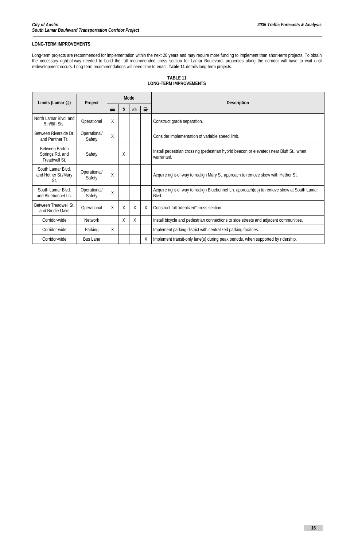## **16**

## **LONG-TERM IMPROVEMENTS**

l

Long-term projects are recommended for implementation within the next 20 years and may require more funding to implement than short-term projects. To obtain the necessary right-of-way needed to build the full recommended cross section for Lamar Boulevard, properties along the corridor will have to wait until redevelopment occurs. Long-term recommendations will need time to enact. **Table 11** details long-term projects.

## **TABLE 11 LONG-TERM IMPROVEMENTS**

| Limits (Lamar @)                                          | Project                | Mode        |   |              | <b>Description</b> |                                                                                                       |
|-----------------------------------------------------------|------------------------|-------------|---|--------------|--------------------|-------------------------------------------------------------------------------------------------------|
|                                                           |                        | $\bigoplus$ | 水 | $\Box$<br>ණි |                    |                                                                                                       |
| North Lamar Blvd. and<br>5th/6th Sts.                     | Operational            | X           |   |              |                    | Construct grade separation.                                                                           |
| Between Riverside Dr.<br>and Panther Tr.                  | Operational/<br>Safety | X           |   |              |                    | Consider implementation of variable speed limit.                                                      |
| <b>Between Barton</b><br>Springs Rd. and<br>Treadwell St. | Safety                 |             | X |              |                    | Install pedestrian crossing (pedestrian hybrid beacon or elevated) near Bluff St., when<br>warranted. |
| South Lamar Blvd.<br>and Hether St./Mary<br>St.           | Operational/<br>Safety | $\sf X$     |   |              |                    | Acquire right-of-way to realign Mary St. approach to remove skew with Hether St.                      |
| South Lamar Blvd.<br>and Bluebonnet Ln.                   | Operational/<br>Safety | X           |   |              |                    | Acquire right-of-way to realign Bluebonnet Ln. approach(es) to remove skew at South Lamar<br>Blvd.    |
| Between Treadwell St.<br>and Brodie Oaks                  | Operational            | Χ           | X | X            | X                  | Construct full "idealized" cross section.                                                             |
| Corridor-wide                                             | <b>Network</b>         |             | X | X            |                    | Install bicycle and pedestrian connections to side streets and adjacent communities.                  |
| Corridor-wide                                             | Parking                | $\sf X$     |   |              |                    | Implement parking district with centralized parking facilities.                                       |
| Corridor-wide                                             | <b>Bus Lane</b>        |             |   |              | Χ                  | Implement transit-only lane(s) during peak periods, when supported by ridership.                      |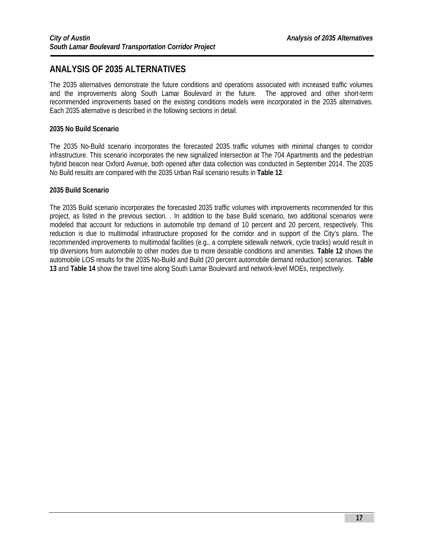## **ANALYSIS OF 2035 ALTERNATIVES**

The 2035 alternatives demonstrate the future conditions and operations associated with increased traffic volumes and the improvements along South Lamar Boulevard in the future. The approved and other short-term recommended improvements based on the existing conditions models were incorporated in the 2035 alternatives. Each 2035 alternative is described in the following sections in detail.

## **2035 No Build Scenario**

l

The 2035 No-Build scenario incorporates the forecasted 2035 traffic volumes with minimal changes to corridor infrastructure. This scenario incorporates the new signalized intersection at The 704 Apartments and the pedestrian hybrid beacon near Oxford Avenue, both opened after data collection was conducted in September 2014. The 2035 No Build results are compared with the 2035 Urban Rail scenario results in **Table 12**.

### **2035 Build Scenario**

The 2035 Build scenario incorporates the forecasted 2035 traffic volumes with improvements recommended for this project, as listed in the previous section. . In addition to the base Build scenario, two additional scenarios were modeled that account for reductions in automobile trip demand of 10 percent and 20 percent, respectively. This reduction is due to multimodal infrastructure proposed for the corridor and in support of the City's plans. The recommended improvements to multimodal facilities (e.g., a complete sidewalk network, cycle tracks) would result in trip diversions from automobile to other modes due to more desirable conditions and amenities. **Table 12** shows the automobile LOS results for the 2035 No-Build and Build (20 percent automobile demand reduction) scenarios. **Table 13** and **Table 14** show the travel time along South Lamar Boulevard and network-level MOEs, respectively.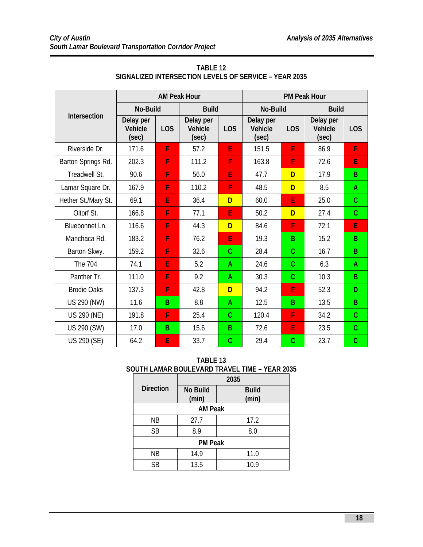l

|                     | <b>AM Peak Hour</b>                  |                  |                                      |                 | <b>PM Peak Hour</b>           |                  |                                      |                  |
|---------------------|--------------------------------------|------------------|--------------------------------------|-----------------|-------------------------------|------------------|--------------------------------------|------------------|
| <b>Intersection</b> | <b>No-Build</b>                      |                  | <b>Build</b>                         |                 | <b>No-Build</b>               |                  | <b>Build</b>                         |                  |
|                     | Delay per<br><b>Vehicle</b><br>(sec) | L <sub>O</sub> S | Delay per<br><b>Vehicle</b><br>(sec) | L <sub>OS</sub> | Delay per<br>Vehicle<br>(sec) | L <sub>O</sub> S | Delay per<br><b>Vehicle</b><br>(sec) | L <sub>O</sub> S |
| Riverside Dr.       | 171.6                                | F                | 57.2                                 | E               | 151.5                         | F                | 86.9                                 | F                |
| Barton Springs Rd.  | 202.3                                | F                | 111.2                                | F               | 163.8                         | F                | 72.6                                 | E                |
| Treadwell St.       | 90.6                                 | F                | 56.0                                 | E               | 47.7                          | D                | 17.9                                 | B                |
| Lamar Square Dr.    | 167.9                                | F                | 110.2                                | F               | 48.5                          | D                | 8.5                                  | A                |
| Hether St./Mary St. | 69.1                                 | E                | 36.4                                 | D               | 60.0                          | E                | 25.0                                 | $\overline{C}$   |
| Oltorf St.          | 166.8                                | F                | 77.1                                 | E               | 50.2                          | D                | 27.4                                 | $\mathsf{C}$     |
| Bluebonnet Ln.      | 116.6                                | F                | 44.3                                 | D               | 84.6                          | F                | 72.1                                 | E                |
| Manchaca Rd.        | 183.2                                | F                | 76.2                                 | E               | 19.3                          | B                | 15.2                                 | B                |
| Barton Skwy.        | 159.2                                | F                | 32.6                                 | $\mathcal{C}$   | 28.4                          | $\mathcal{C}$    | 16.7                                 | B                |
| The 704             | 74.1                                 | E                | 5.2                                  | A               | 24.6                          | $\mathcal{C}$    | 6.3                                  | A                |
| Panther Tr.         | 111.0                                | F                | 9.2                                  | A               | 30.3                          | $\mathcal{C}$    | 10.3                                 | B                |
| <b>Brodie Oaks</b>  | 137.3                                | F                | 42.8                                 | D               | 94.2                          | F                | 52.3                                 | D                |
| US 290 (NW)         | 11.6                                 | B                | 8.8                                  | A               | 12.5                          | B                | 13.5                                 | B                |
| US 290 (NE)         | 191.8                                | F                | 25.4                                 | $\mathbf{C}$    | 120.4                         | F                | 34.2                                 | $\mathcal{C}$    |
| US 290 (SW)         | 17.0                                 | <sub>B</sub>     | 15.6                                 | B.              | 72.6                          | E                | 23.5                                 | $\overline{C}$   |
| US 290 (SE)         | 64.2                                 | E                | 33.7                                 | $\mathcal{C}$   | 29.4                          | $\mathcal{C}$    | 23.7                                 | $\mathsf{C}$     |

## **TABLE 12 SIGNALIZED INTERSECTION LEVELS OF SERVICE – YEAR 2035**

**TABLE 13 SOUTH LAMAR BOULEVARD TRAVEL TIME – YEAR 2035** 

|                  | 2035                     |                       |  |  |  |  |
|------------------|--------------------------|-----------------------|--|--|--|--|
| <b>Direction</b> | <b>No Build</b><br>(min) | <b>Build</b><br>(min) |  |  |  |  |
| <b>AM Peak</b>   |                          |                       |  |  |  |  |
| ΝB               | 27.7                     | 17.2                  |  |  |  |  |
| <b>SB</b>        | 8.9                      | 8.0                   |  |  |  |  |
| <b>PM Peak</b>   |                          |                       |  |  |  |  |
| <b>NB</b>        | 14.9                     | 11.0                  |  |  |  |  |
| <b>SB</b>        | 13.5                     | 10.9                  |  |  |  |  |